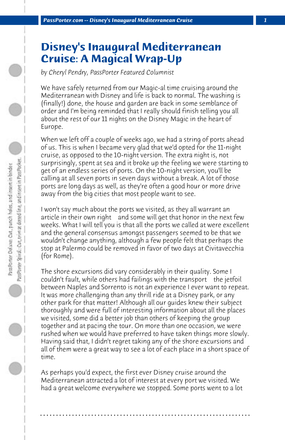## **Disney's Inaugural Mediterranean Cruise: A Magical Wrap-Up**

*by Cheryl Pendry, PassPorter Featured Columnist*

We have safely returned from our Magic-al time cruising around the Mediterranean with Disney and life is back to normal. The washing is (finally!) done, the house and garden are back in some semblance of order and I'm being reminded that I really should finish telling you all about the rest of our 11 nights on the Disney Magic in the heart of Europe.

When we left off a couple of weeks ago, we had a string of ports ahead of us. This is when I became very glad that we'd opted for the 11-night cruise, as opposed to the 10-night version. The extra night is, not surprisingly, spent at sea and it broke up the feeling we were starting to get of an endless series of ports. On the 10-night version, you'll be calling at all seven ports in seven days without a break. A lot of those ports are long days as well, as they're often a good hour or more drive away from the big cities that most people want to see.

I won't say much about the ports we visited, as they all warrant an article in their own right and some will get that honor in the next few weeks. What I will tell you is that all the ports we called at were excellent and the general consensus amongst passengers seemed to be that we wouldn't change anything, although a few people felt that perhaps the stop at Palermo could be removed in favor of two days at Civitavecchia (for Rome).

The shore excursions did vary considerably in their quality. Some I couldn't fault, while others had failings with the transport the jetfoil between Naples and Sorrento is not an experience I ever want to repeat. It was more challenging than any thrill ride at a Disney park, or any other park for that matter! Although all our guides knew their subject thoroughly and were full of interesting information about all the places we visited, some did a better job than others of keeping the group together and at pacing the tour. On more than one occasion, we were rushed when we would have preferred to have taken things more slowly. Having said that, I didn't regret taking any of the shore excursions and all of them were a great way to see a lot of each place in a short space of time.

As perhaps you'd expect, the first ever Disney cruise around the Mediterranean attracted a lot of interest at every port we visited. We had a great welcome everywhere we stopped. Some ports went to a lot

**. . . . . . . . . . . . . . . . . . . . . . . . . . . . . . . . . . . . . . . . . . . . . . . . . . . . . . . . . . . . . . . . . .**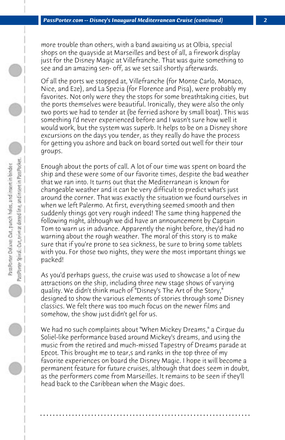more trouble than others, with a band awaiting us at Olbia, special shops on the quayside at Marseilles and best of all, a firework display just for the Disney Magic at Villefranche. That was quite something to see and an amazing sen- off, as we set sail shortly afterwards.

Of all the ports we stopped at, Villefranche (for Monte Carlo, Monaco, Nice, and Eze), and La Spezia (for Florence and Pisa), were probably my favorites. Not only were they the stops for some breathtaking cities, but the ports themselves were beautiful. Ironically, they were also the only two ports we had to tender at (be ferried ashore by small boat). This was something I'd never experienced before and I wasn't sure how well it would work, but the system was superb. It helps to be on a Disney shore excursions on the days you tender, as they really do have the process for getting you ashore and back on board sorted out well for their tour groups.

Enough about the ports of call. A lot of our time was spent on board the ship and these were some of our favorite times, despite the bad weather that we ran into. It turns out that the Mediterranean is known for changeable weather and it can be very difficult to predict what's just around the corner. That was exactly the situation we found ourselves in when we left Palermo. At first, everything seemed smooth and then suddenly things got very rough indeed! The same thing happened the following night, although we did have an announcement by Captain Tom to warn us in advance. Apparently the night before, they'd had no warning about the rough weather. The moral of this story is to make sure that if you're prone to sea sickness, be sure to bring some tablets with you. For those two nights, they were the most important things we packed!

As you'd perhaps guess, the cruise was used to showcase a lot of new attractions on the ship, including three new stage shows of varying quality. We didn't think much of "Disney's The Art of the Story," designed to show the various elements of stories through some Disney classics. We felt there was too much focus on the newer films and somehow, the show just didn't gel for us.

We had no such complaints about "When Mickey Dreams," a Cirque du Soliel-like performance based around Mickey's dreams, and using the music from the retired and much-missed Tapestry of Dreams parade at Epcot. This brought me to tear,s and ranks in the top three of my favorite experiences on board the Disney Magic. I hope it will become a permanent feature for future cruises, although that does seem in doubt, as the performers come from Marseilles. It remains to be seen if they'll head back to the Caribbean when the Magic does.

**. . . . . . . . . . . . . . . . . . . . . . . . . . . . . . . . . . . . . . . . . . . . . . . . . . . . . . . . . . . . . . . . . .**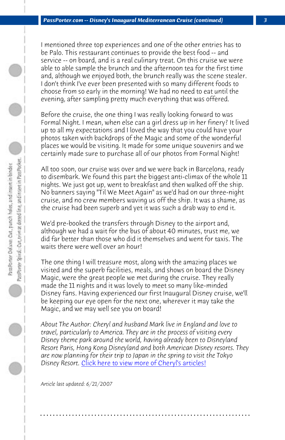*PassPorter.com -- Disney's Inaugural Mediterranean Cruise (continued) 3*

I mentioned three top experiences and one of the other entries has to be Palo. This restaurant continues to provide the best food -- and service -- on board, and is a real culinary treat. On this cruise we were able to able sample the brunch and the afternoon tea for the first time and, although we enjoyed both, the brunch really was the scene stealer. I don't think I've ever been presented with so many different foods to choose from so early in the morning! We had no need to eat until the evening, after sampling pretty much everything that was offered.

Before the cruise, the one thing I was really looking forward to was Formal Night. I mean, when else can a girl dress up in her finery? It lived up to all my expectations and I loved the way that you could have your photos taken with backdrops of the Magic and some of the wonderful places we would be visiting. It made for some unique souvenirs and we certainly made sure to purchase all of our photos from Formal Night!

All too soon, our cruise was over and we were back in Barcelona, ready to disembark. We found this part the biggest anti-climax of the whole 11 nights. We just got up, went to breakfast and then walked off the ship. No banners saying "Til We Meet Again" as we'd had on our three-night cruise, and no crew members waving us off the ship. It was a shame, as the cruise had been superb and yet it was such a drab way to end it.

We'd pre-booked the transfers through Disney to the airport and, although we [had a wait for the bus of about 40 minutes, tr](http://www.passporter.com/articles/cheryl-pendry-featured-columnist.asp)ust me, we did far better than those who did it themselves and went for taxis. The waits there were well over an hour!

The one thing I will treasure most, along with the amazing places we visited and the superb facilities, meals, and shows on board the Disney Magic, were the great people we met during the cruise. They really made the 11 nights and it was lovely to meet so many like-minded Disney fans. Having experienced our first Inaugural Disney cruise, we'll be keeping our eye open for the next one, wherever it may take the Magic, and we may well see you on board!

*About The Author: Cheryl and husband Mark live in England and love to travel, particularly to America. They are in the process of visiting every Disney theme park around the world, having already been to Disneyland Resort Paris, Hong Kong Disneyland and both American Disney resorts. They are now planning for their trip to Japan in the spring to visit the Tokyo Disney Resort.* Click here to view more of Cheryl's articles!

**. . . . . . . . . . . . . . . . . . . . . . . . . . . . . . . . . . . . . . . . . . . . . . . . . . . . . . . . . . . . . . . . . .**

*Article last updated: 6/21/2007*